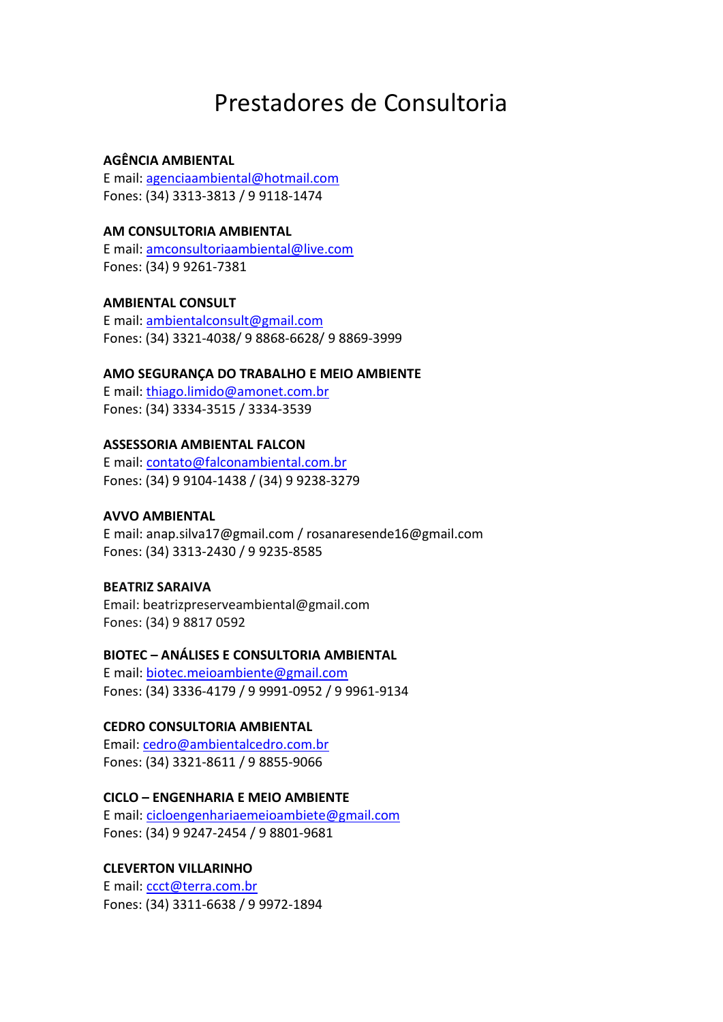# Prestadores de Consultoria

# **AGÊNCIA AMBIENTAL**

E mail: [agenciaambiental@hotmail.com](mailto:agenciaambiental@hotmail.com) Fones: (34) 3313‐3813 / 9 9118‐1474

## **AM CONSULTORIA AMBIENTAL**

E mail: [amconsultoriaambiental@live.com](mailto:amconsultoriaambiental@live.com) Fones: (34) 9 9261-7381

# **AMBIENTAL CONSULT**

E mail: [ambientalconsult@gmail.com](mailto:ambientalconsult@gmail.com) Fones: (34) 3321‐4038/ 9 8868‐6628/ 9 8869‐3999

## **AMO SEGURANÇA DO TRABALHO E MEIO AMBIENTE**

E mail: [thiago.limido@amonet.com.br](mailto:thiago.limido@amonet.com.br) Fones: (34) 3334‐3515 / 3334‐3539

# **ASSESSORIA AMBIENTAL FALCON**

E mail: [contato@falconambiental.com.br](mailto:contato@falconambiental.com.br) Fones: (34) 9 9104-1438 / (34) 9 9238-3279

# **AVVO AMBIENTAL**

E mail: anap.silva17@gmail.com / rosanaresende16@gmail.com Fones: (34) 3313‐2430 / 9 9235‐8585

#### **BEATRIZ SARAIVA**

Email: beatrizpreserveambiental@gmail.com Fones: (34) 9 8817 0592

# **BIOTEC – ANÁLISES E CONSULTORIA AMBIENTAL**

E mail: [biotec.meioambiente@gmail.com](mailto:biotec.meioambiente@gmail.com) Fones: (34) 3336‐4179 / 9 9991‐0952 / 9 9961‐9134

# **CEDRO CONSULTORIA AMBIENTAL**

Email[: cedro@ambientalcedro.com.br](mailto:cedro@ambientalcedro.com.br) Fones: (34) 3321-8611 / 9 8855-9066

# **CICLO – ENGENHARIA E MEIO AMBIENTE**

E mail: [cicloengenhariaemeioambiete@gmail.com](mailto:cicloengenhariaemeioambiete@gmail.com) Fones: (34) 9 9247‐2454 / 9 8801‐9681

# **CLEVERTON VILLARINHO**

E mail: [ccct@terra.com.br](mailto:ccct@terra.com.br) Fones: (34) 3311‐6638 / 9 9972‐1894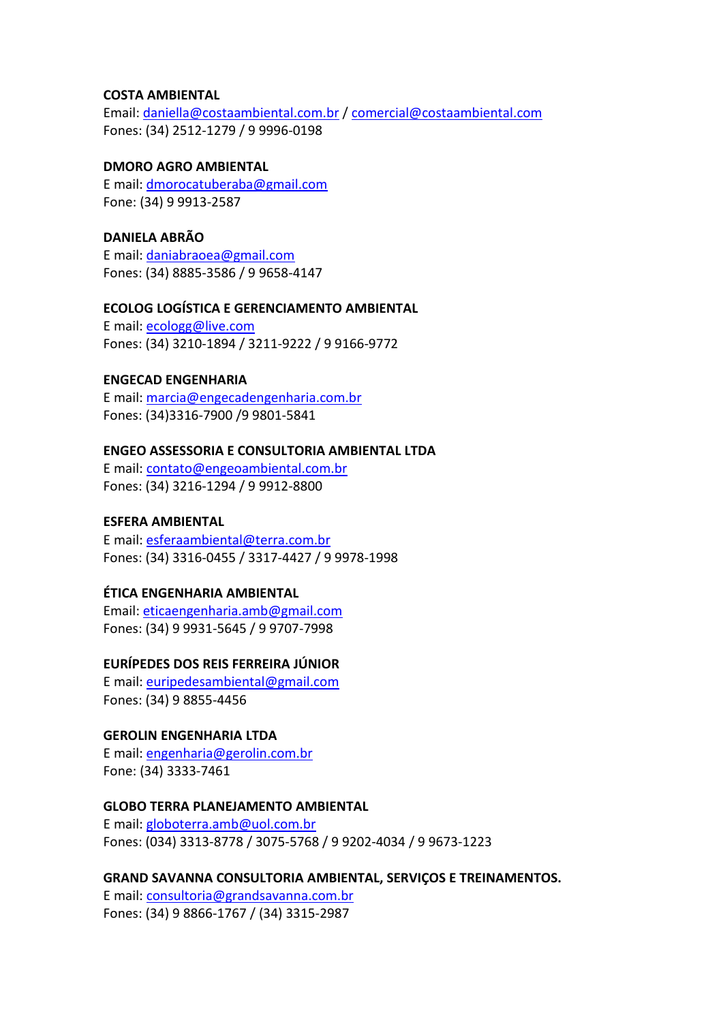## **COSTA AMBIENTAL**

Email[: daniella@costaambiental.com.br](mailto:daniella@costaambiental.com.br) / [comercial@costaambiental.com](mailto:comercial@costaambiental.com) Fones: (34) 2512-1279 / 9 9996-0198

# **DMORO AGRO AMBIENTAL**

E mail: [dmorocatuberaba@gmail.com](mailto:dmorocatuberaba@gmail.com) Fone: (34) 9 9913‐2587

# **DANIELA ABRÃO**

E mail: [daniabraoea@gmail.com](mailto:daniabraoea@gmail.com) Fones: (34) 8885‐3586 / 9 9658‐4147

## **ECOLOG LOGÍSTICA E GERENCIAMENTO AMBIENTAL**

E mail: [ecologg@live.com](mailto:ecologg@live.com) Fones: (34) 3210‐1894 / 3211‐9222 / 9 9166‐9772

# **ENGECAD ENGENHARIA**

E mail: [marcia@engecadengenharia.com.br](mailto:marcia@engecadengenharia.com.br) Fones: (34)3316‐7900 /9 9801‐5841

# **ENGEO ASSESSORIA E CONSULTORIA AMBIENTAL LTDA**

E mail: [contato@engeoambiental.com.br](mailto:contato@engeoambiental.com.br) Fones: (34) 3216‐1294 / 9 9912‐8800

# **ESFERA AMBIENTAL**

E mail: [esferaambiental@terra.com.br](mailto:esferaambiental@terra.com.br) Fones: (34) 3316‐0455 / 3317‐4427 / 9 9978‐1998

# **ÉTICA ENGENHARIA AMBIENTAL**

Email[: eticaengenharia.amb@gmail.com](mailto:eticaengenharia.amb@gmail.com) Fones: (34) 9 9931-5645 / 9 9707-7998

# **EURÍPEDES DOS REIS FERREIRA JÚNIOR**

E mail: [euripedesambiental@gmail.com](mailto:euripedesambiental@gmail.com) Fones: (34) 9 8855‐4456

# **GEROLIN ENGENHARIA LTDA**

E mail: [engenharia@gerolin.com.br](mailto:engenharia@gerolin.com.br) Fone: (34) 3333‐7461

# **GLOBO TERRA PLANEJAMENTO AMBIENTAL**

E mail: [globoterra.amb@uol.com.br](mailto:globoterra.amb@uol.com.br) Fones: (034) 3313‐8778 / 3075‐5768 / 9 9202‐4034 / 9 9673‐1223

#### **GRAND SAVANNA CONSULTORIA AMBIENTAL, SERVIÇOS E TREINAMENTOS.**

E mail: [consultoria@grandsavanna.com.br](mailto:consultoria@grandsavanna.com.br) Fones: (34) 9 8866‐1767 / (34) 3315-2987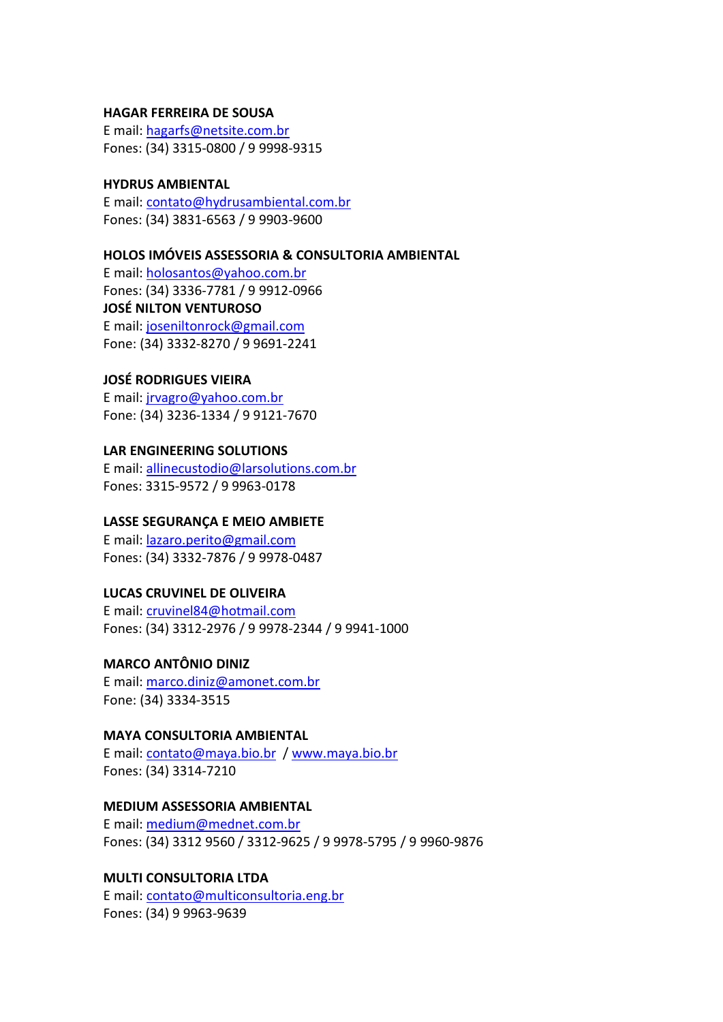#### **HAGAR FERREIRA DE SOUSA**

E mail: [hagarfs@netsite.com.br](mailto:hagarfs@netsite.com.br) Fones: (34) 3315‐0800 / 9 9998‐9315

#### **HYDRUS AMBIENTAL**

E mail: [contato@hydrusambiental.com.br](mailto:contato@hydrusambiental.com.br) Fones: (34) 3831‐6563 / 9 9903‐9600

### **HOLOS IMÓVEIS ASSESSORIA & CONSULTORIA AMBIENTAL**

E mail: [holosantos@yahoo.com.br](mailto:holosantos@yahoo.com.br) Fones: (34) 3336‐7781 / 9 9912‐0966 **JOSÉ NILTON VENTUROSO**  E mail: [joseniltonrock@gmail.com](mailto:joseniltonrock@gmail.com) Fone: (34) 3332‐8270 / 9 9691‐2241

# **JOSÉ RODRIGUES VIEIRA**

E mail: [jrvagro@yahoo.com.br](mailto:jrvagro@yahoo.com.br) Fone: (34) 3236‐1334 / 9 9121‐7670

# **LAR ENGINEERING SOLUTIONS**

E mail: [allinecustodio@larsolutions.com.br](mailto:allinecustodio@larsolutions.com.br) Fones: 3315‐9572 / 9 9963‐0178

## **LASSE SEGURANÇA E MEIO AMBIETE**

E mail: [lazaro.perito@gmail.com](mailto:lazaro.perito@gmail.com) Fones: (34) 3332‐7876 / 9 9978‐0487

# **LUCAS CRUVINEL DE OLIVEIRA**

E mail: [cruvinel84@hotmail.com](mailto:cruvinel84@hotmail.com) Fones: (34) 3312‐2976 / 9 9978‐2344 / 9 9941‐1000

# **MARCO ANTÔNIO DINIZ**

E mail: [marco.diniz@amonet.com.br](mailto:marco.diniz@amonet.com.br) Fone: (34) 3334‐3515

#### **MAYA CONSULTORIA AMBIENTAL**

E mail: [contato@maya.bio.br](mailto:contato@maya.bio.br) / [www.maya.bio.br](http://www.maya.bio.br/) Fones: (34) 3314‐7210

# **MEDIUM ASSESSORIA AMBIENTAL**

E mail: [medium@mednet.com.br](mailto:medium@mednet.com.br) Fones: (34) 3312 9560 / 3312‐9625 / 9 9978‐5795 / 9 9960‐9876

# **MULTI CONSULTORIA LTDA**

E mail: [contato@multiconsultoria.eng.br](mailto:contato@multiconsultoria.eng.br) Fones: (34) 9 9963‐9639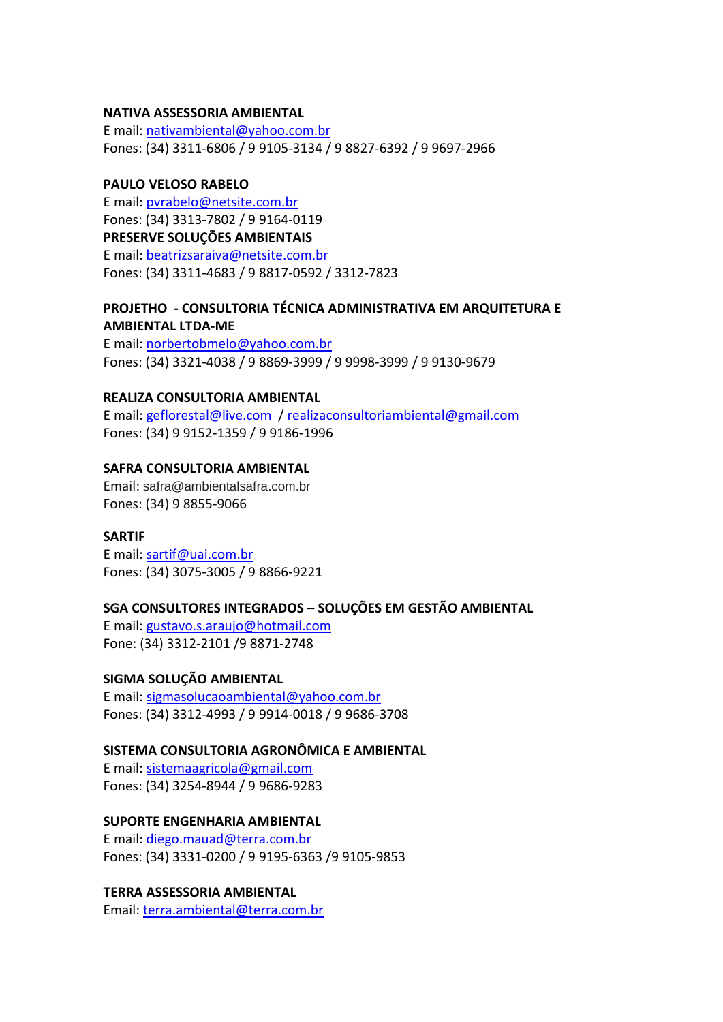## **NATIVA ASSESSORIA AMBIENTAL**

E mail: [nativambiental@yahoo.com.br](mailto:nativambiental@yahoo.com.br) Fones: (34) 3311‐6806 / 9 9105‐3134 / 9 8827‐6392 / 9 9697‐2966

## **PAULO VELOSO RABELO**

E mail: [pvrabelo@netsite.com.br](mailto:pvrabelo@netsite.com.br) Fones: (34) 3313‐7802 / 9 9164‐0119 **PRESERVE SOLUÇÕES AMBIENTAIS** E mail: [beatrizsaraiva@netsite.com.br](mailto:beatrizsaraiva@netsite.com.br) Fones: (34) 3311‐4683 / 9 8817‐0592 / 3312‐7823

# **PROJETHO - CONSULTORIA TÉCNICA ADMINISTRATIVA EM ARQUITETURA E AMBIENTAL LTDA‐ME**

E mail: [norbertobmelo@yahoo.com.br](mailto:norbertobmelo@yahoo.com.br) Fones: (34) 3321‐4038 / 9 8869‐3999 / 9 9998‐3999 / 9 9130‐9679

# **REALIZA CONSULTORIA AMBIENTAL**

E mail: [geflorestal@live.com](mailto:geflorestal@live.com) / [realizaconsultoriambiental@gmail.com](mailto:realizaconsultoriambiental@gmail.com) Fones: (34) 9 9152‐1359 / 9 9186‐1996

## **SAFRA CONSULTORIA AMBIENTAL**

Email: safra@ambientalsafra.com.br Fones: (34) 9 8855-9066

### **SARTIF**

E mail: [sartif@uai.com.br](mailto:sartif@uai.com.br) Fones: (34) 3075‐3005 / 9 8866‐9221

# **SGA CONSULTORES INTEGRADOS – SOLUÇÕES EM GESTÃO AMBIENTAL**

E mail: [gustavo.s.araujo@hotmail.com](mailto:gustavo.s.araujo@hotmail.com) Fone: (34) 3312‐2101 /9 8871‐2748

#### **SIGMA SOLUÇÃO AMBIENTAL**

E mail: [sigmasolucaoambiental@yahoo.com.br](mailto:sigmasolucaoambiental@yahoo.com.br) Fones: (34) 3312‐4993 / 9 9914‐0018 / 9 9686‐3708

# **SISTEMA CONSULTORIA AGRONÔMICA E AMBIENTAL**

E mail: [sistemaagricola@gmail.com](mailto:sistemaagricola@gmail.com) Fones: (34) 3254-8944 / 9 9686-9283

## **SUPORTE ENGENHARIA AMBIENTAL**

E mail: [diego.mauad@terra.com.br](mailto:diego.mauad@terra.com.br) Fones: (34) 3331‐0200 / 9 9195‐6363 /9 9105‐9853

# **TERRA ASSESSORIA AMBIENTAL**

Email: [terra.ambiental@terra.com.br](mailto:terra.ambiental@terra.com.br)